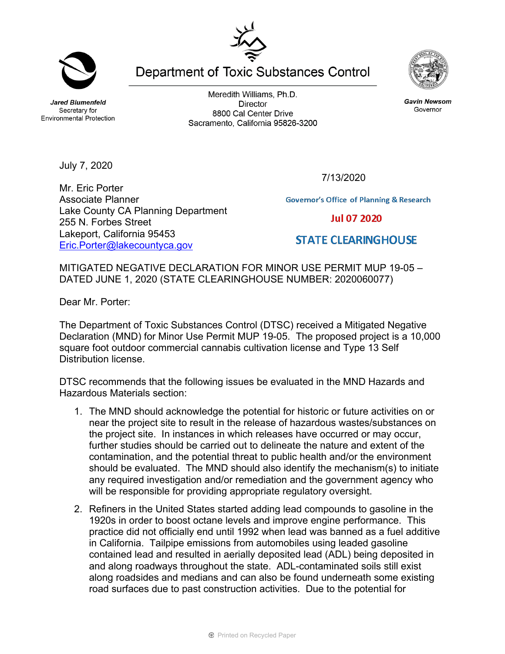**Jared Blumenfeld** Secretary for **Environmental Protection** 

Meredith Williams, Ph.D. **Director** 8800 Cal Center Drive Sacramento, California 95826-3200



**Gavin Newsom** 

Governor

July 7, 2020

Mr. Eric Porter Associate Planner Lake County CA Planning Department 255 N. Forbes Street Lakeport, California 95453 [Eric.Porter@lakecountyca.gov](mailto:Eric.Porter@lakecountyca.gov) 

**Governor's Office of Planning & Research** 

**Jul 07 2020** 

## **STATE CLEARINGHOUSE**

MITIGATED NEGATIVE DECLARATION FOR MINOR USE PERMIT MUP 19-05 – DATED JUNE 1, 2020 (STATE CLEARINGHOUSE NUMBER: 2020060077)

Dear Mr. Porter:

The Department of Toxic Substances Control (DTSC) received a Mitigated Negative Declaration (MND) for Minor Use Permit MUP 19-05. The proposed project is a 10,000 square foot outdoor commercial cannabis cultivation license and Type 13 Self Distribution license.

DTSC recommends that the following issues be evaluated in the MND Hazards and Hazardous Materials section:

- 1. The MND should acknowledge the potential for historic or future activities on or near the project site to result in the release of hazardous wastes/substances on the project site. In instances in which releases have occurred or may occur, further studies should be carried out to delineate the nature and extent of the contamination, and the potential threat to public health and/or the environment should be evaluated. The MND should also identify the mechanism(s) to initiate any required investigation and/or remediation and the government agency who will be responsible for providing appropriate regulatory oversight.
- 2. Refiners in the United States started adding lead compounds to gasoline in the 1920s in order to boost octane levels and improve engine performance. This practice did not officially end until 1992 when lead was banned as a fuel additive in California. Tailpipe emissions from automobiles using leaded gasoline contained lead and resulted in aerially deposited lead (ADL) being deposited in and along roadways throughout the state. ADL-contaminated soils still exist along roadsides and medians and can also be found underneath some existing road surfaces due to past construction activities. Due to the potential for

**Department of Toxic Substances Control** 

7/13/2020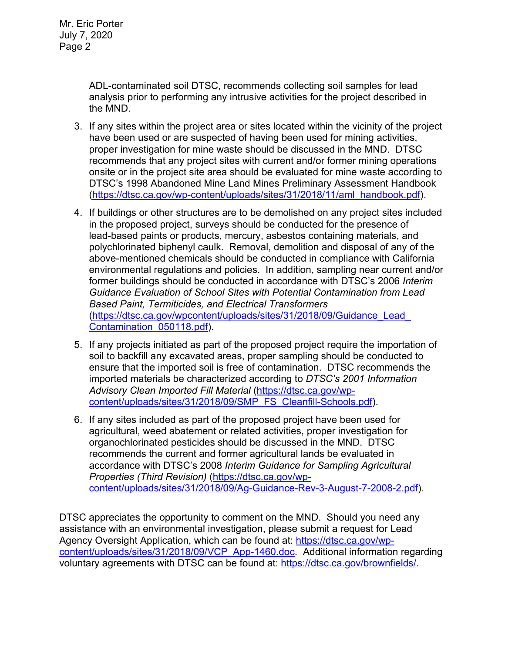ADL-contaminated soil DTSC, recommends collecting soil samples for lead analysis prior to performing any intrusive activities for the project described in the MND.

- 3. If any sites within the project area or sites located within the vicinity of the project have been used or are suspected of having been used for mining activities, proper investigation for mine waste should be discussed in the MND. DTSC recommends that any project sites with current and/or former mining operations onsite or in the project site area should be evaluated for mine waste according to DTSC's 1998 Abandoned Mine Land Mines Preliminary Assessment Handbook [\(https://dtsc.ca.gov/wp-content/uploads/sites/31/2018/11/aml\\_handbook.pdf\)](https://dtsc.ca.gov/wp-content/uploads/sites/31/2018/11/aml_handbook.pdf).
- 4. If buildings or other structures are to be demolished on any project sites included in the proposed project, surveys should be conducted for the presence of lead-based paints or products, mercury, asbestos containing materials, and polychlorinated biphenyl caulk. Removal, demolition and disposal of any of the above-mentioned chemicals should be conducted in compliance with California environmental regulations and policies. In addition, sampling near current and/or former buildings should be conducted in accordance with DTSC's 2006 *Interim Guidance Evaluation of School Sites with Potential Contamination from Lead Based Paint, Termiticides, and Electrical Transformers* [\(https://dtsc.ca.gov/wpcontent/uploads/sites/31/2018/09/Guidance\\_Lead\\_](https://gcc02.safelinks.protection.outlook.com/?url=https%3A%2F%2Fdtsc.ca.gov%2Fwp-content%2Fuploads%2Fsites%2F31%2F2018%2F09%2FGuidance_Lead_Contamination_050118.pdf&data=02%7C01%7C%7C5d5d271a38734f176ff008d74b61ecfd%7C3f4ffbf4c7604c2abab8c63ef4bd2439%7C0%7C0%7C637060756261296590&sdata=1JGWitJI6nMkU%2FVDzi0GYiam5nl8DLJhkRmLCticfdA%3D&reserved=0)  [Contamination\\_050118.pdf\)](https://gcc02.safelinks.protection.outlook.com/?url=https%3A%2F%2Fdtsc.ca.gov%2Fwp-content%2Fuploads%2Fsites%2F31%2F2018%2F09%2FGuidance_Lead_Contamination_050118.pdf&data=02%7C01%7C%7C5d5d271a38734f176ff008d74b61ecfd%7C3f4ffbf4c7604c2abab8c63ef4bd2439%7C0%7C0%7C637060756261296590&sdata=1JGWitJI6nMkU%2FVDzi0GYiam5nl8DLJhkRmLCticfdA%3D&reserved=0).
- 5. If any projects initiated as part of the proposed project require the importation of soil to backfill any excavated areas, proper sampling should be conducted to ensure that the imported soil is free of contamination. DTSC recommends the imported materials be characterized according to *DTSC's 2001 Information Advisory Clean Imported Fill Material* [\(https://dtsc.ca.gov/wp](https://dtsc.ca.gov/wp-content/uploads/sites/31/2018/09/SMP_FS_Cleanfill-Schools.pdf)[content/uploads/sites/31/2018/09/SMP\\_FS\\_Cleanfill-Schools.pdf\)](https://dtsc.ca.gov/wp-content/uploads/sites/31/2018/09/SMP_FS_Cleanfill-Schools.pdf).
- 6. If any sites included as part of the proposed project have been used for agricultural, weed abatement or related activities, proper investigation for organochlorinated pesticides should be discussed in the MND. DTSC recommends the current and former agricultural lands be evaluated in accordance with DTSC's 2008 *Interim Guidance for Sampling Agricultural Properties (Third Revision)* [\(https://dtsc.ca.gov/wp](https://dtsc.ca.gov/wp-content/uploads/sites/31/2018/09/Ag-Guidance-Rev-3-August-7-2008-2.pdf)[content/uploads/sites/31/2018/09/Ag-Guidance-Rev-3-August-7-2008-2.pdf\)](https://dtsc.ca.gov/wp-content/uploads/sites/31/2018/09/Ag-Guidance-Rev-3-August-7-2008-2.pdf).

DTSC appreciates the opportunity to comment on the MND. Should you need any assistance with an environmental investigation, please submit a request for Lead Agency Oversight Application, which can be found at: [https://dtsc.ca.gov/wp](https://dtsc.ca.gov/wp-content/uploads/sites/31/2018/09/VCP_App-1460.doc)[content/uploads/sites/31/2018/09/VCP\\_App-1460.doc.](https://dtsc.ca.gov/wp-content/uploads/sites/31/2018/09/VCP_App-1460.doc) Additional information regarding voluntary agreements with DTSC can be found at: [https://dtsc.ca.gov/brownfields/.](https://dtsc.ca.gov/brownfields/)